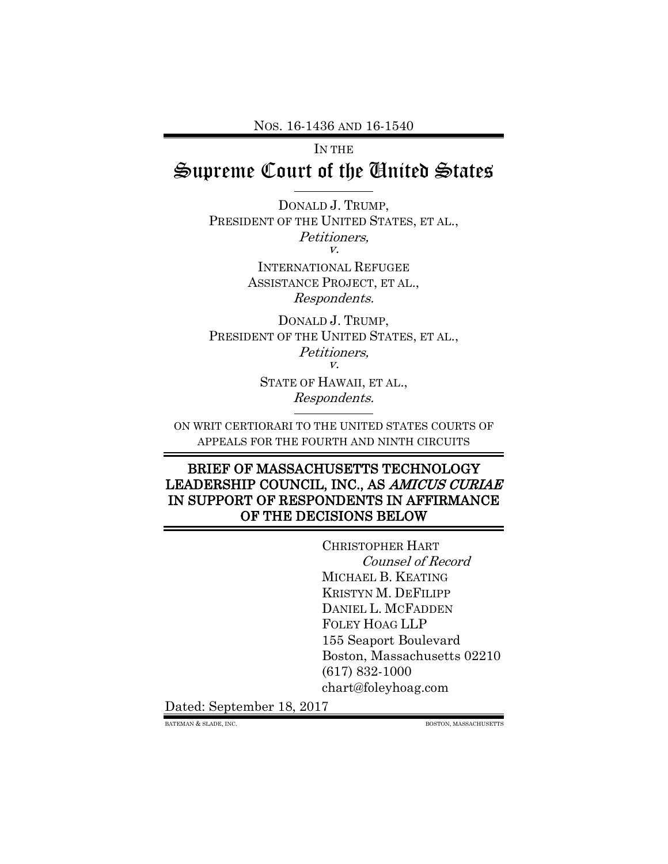IN THE

# Supreme Court of the United States

DONALD J. TRUMP, PRESIDENT OF THE UNITED STATES, ET AL., Petitioners, v.

> INTERNATIONAL REFUGEE ASSISTANCE PROJECT, ET AL., Respondents.

DONALD J. TRUMP, PRESIDENT OF THE UNITED STATES, ET AL., Petitioners,  $\boldsymbol{V}$ 

> STATE OF HAWAII, ET AL., Respondents.

ON WRIT CERTIORARI TO THE UNITED STATES COURTS OF APPEALS FOR THE FOURTH AND NINTH CIRCUITS

# BRIEF OF MASSACHUSETTS TECHNOLOGY LEADERSHIP COUNCIL, INC., AS AMICUS CURIAE IN SUPPORT OF RESPONDENTS IN AFFIRMANCE OF THE DECISIONS BELOW

CHRISTOPHER HART Counsel of Record MICHAEL B. KEATING KRISTYN M. DEFILIPP DANIEL L. MCFADDEN FOLEY HOAG LLP 155 Seaport Boulevard Boston, Massachusetts 02210 (617) 832-1000 chart@foleyhoag.com

Dated: September 18, 2017

BATEMAN & SLADE, INC. And the second contract of the second contract of the second contract of the second contract of the second contract of the second contract of the second contract of the second contract of the second c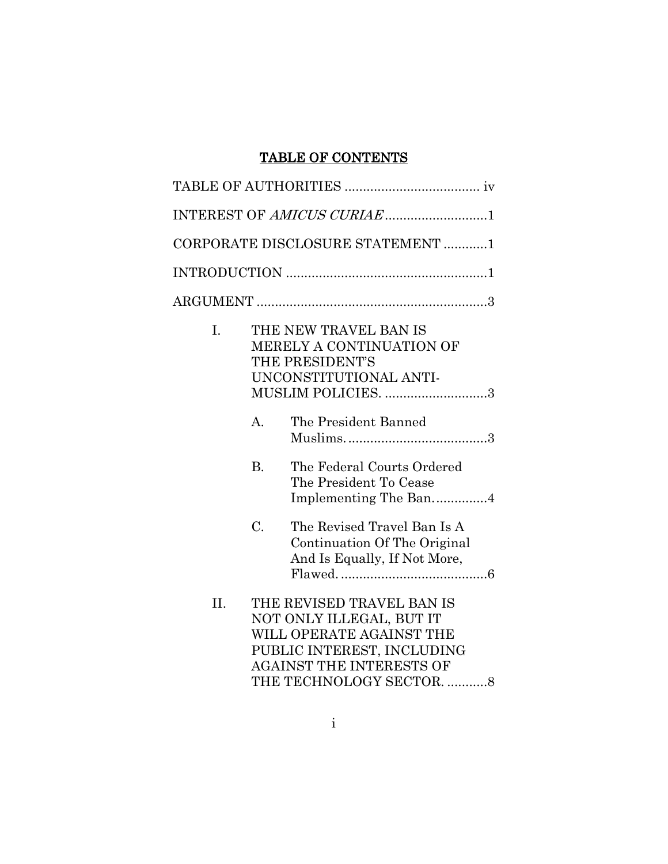# TABLE OF CONTENTS

| INTEREST OF AMICUS CURIAE1 |           |                                                                                                                                                                                |  |  |
|----------------------------|-----------|--------------------------------------------------------------------------------------------------------------------------------------------------------------------------------|--|--|
|                            |           | CORPORATE DISCLOSURE STATEMENT 1                                                                                                                                               |  |  |
|                            |           |                                                                                                                                                                                |  |  |
|                            |           |                                                                                                                                                                                |  |  |
| I.                         |           | THE NEW TRAVEL BAN IS<br>MERELY A CONTINUATION OF<br>THE PRESIDENT'S<br>UNCONSTITUTIONAL ANTI-<br>MUSLIM POLICIES. 3                                                           |  |  |
|                            | A.        | The President Banned                                                                                                                                                           |  |  |
|                            | <b>B.</b> | The Federal Courts Ordered<br>The President To Cease                                                                                                                           |  |  |
|                            | C.        | The Revised Travel Ban Is A<br>Continuation Of The Original<br>And Is Equally, If Not More,                                                                                    |  |  |
| II.                        |           | THE REVISED TRAVEL BAN IS<br>NOT ONLY ILLEGAL, BUT IT<br>WILL OPERATE AGAINST THE<br>PUBLIC INTEREST, INCLUDING<br><b>AGAINST THE INTERESTS OF</b><br>THE TECHNOLOGY SECTOR. 8 |  |  |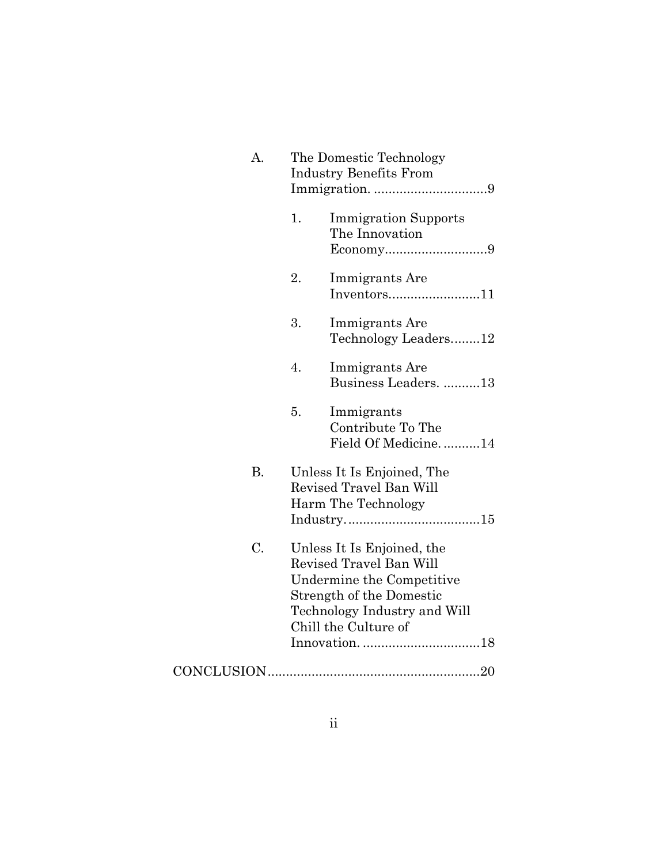| A. |    | The Domestic Technology<br><b>Industry Benefits From</b>                                                                                                               |
|----|----|------------------------------------------------------------------------------------------------------------------------------------------------------------------------|
|    | 1. | <b>Immigration Supports</b><br>The Innovation                                                                                                                          |
|    | 2. | Immigrants Are                                                                                                                                                         |
|    | 3. | Immigrants Are<br>Technology Leaders12                                                                                                                                 |
|    | 4. | Immigrants Are<br>Business Leaders. 13                                                                                                                                 |
|    | 5. | Immigrants<br>Contribute To The<br>Field Of Medicine14                                                                                                                 |
| Β. |    | Unless It Is Enjoined, The<br>Revised Travel Ban Will<br>Harm The Technology                                                                                           |
| C. |    | Unless It Is Enjoined, the<br>Revised Travel Ban Will<br>Undermine the Competitive<br>Strength of the Domestic<br>Technology Industry and Will<br>Chill the Culture of |
|    |    |                                                                                                                                                                        |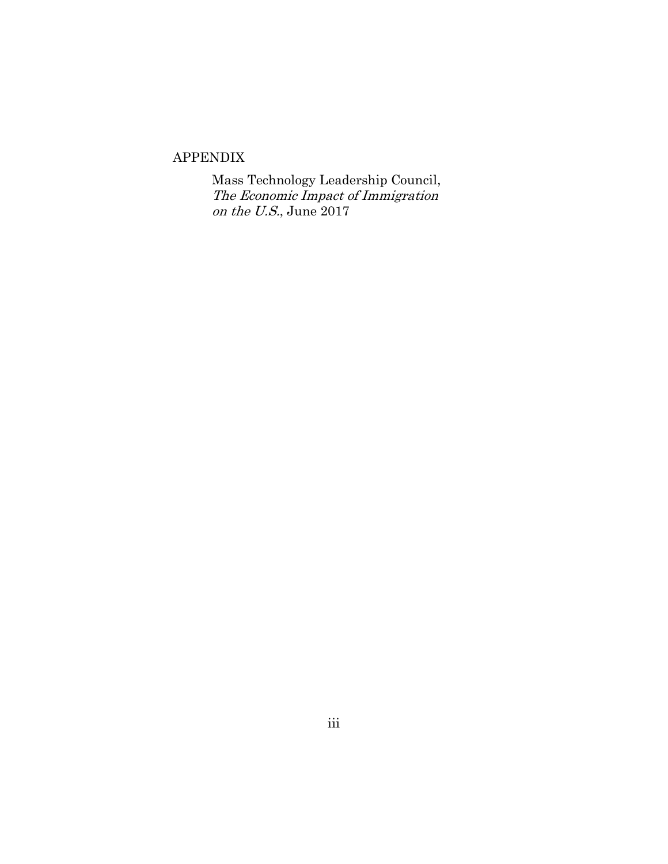# APPENDIX

<span id="page-3-0"></span>Mass Technology Leadership Council, The Economic Impact of Immigration on the U.S., June 2017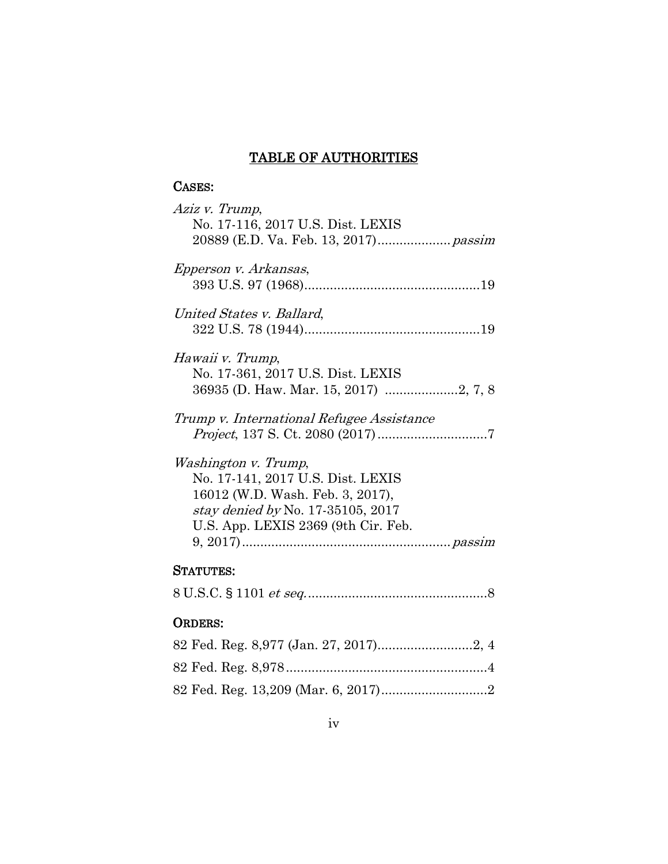# TABLE OF AUTHORITIES

# CASES:

| Aziz v. Trump,<br>No. 17-116, 2017 U.S. Dist. LEXIS                                                                                                                       |
|---------------------------------------------------------------------------------------------------------------------------------------------------------------------------|
| Epperson v. Arkansas,                                                                                                                                                     |
| United States v. Ballard,                                                                                                                                                 |
| Hawaii v. Trump,<br>No. 17-361, 2017 U.S. Dist. LEXIS                                                                                                                     |
| Trump v. International Refugee Assistance                                                                                                                                 |
| Washington v. Trump,<br>No. 17-141, 2017 U.S. Dist. LEXIS<br>16012 (W.D. Wash. Feb. 3, 2017),<br>stay denied by No. 17-35105, 2017<br>U.S. App. LEXIS 2369 (9th Cir. Feb. |

# STATUTES:

<span id="page-4-0"></span>

# ORDERS: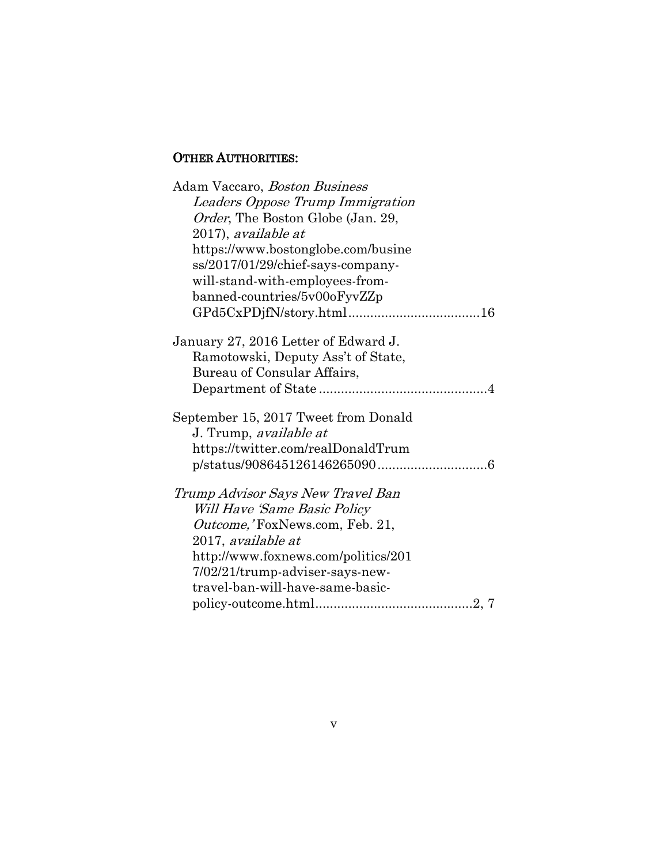# OTHER AUTHORITIES:

| Adam Vaccaro, <i>Boston Business</i>   |
|----------------------------------------|
| Leaders Oppose Trump Immigration       |
| Order, The Boston Globe (Jan. 29,      |
| 2017), available at                    |
| https://www.bostonglobe.com/busine     |
| ss/2017/01/29/chief-says-company-      |
| will-stand-with-employees-from-        |
| banned-countries/5v00oFyvZZp           |
|                                        |
| January 27, 2016 Letter of Edward J.   |
| Ramotowski, Deputy Ass't of State,     |
| Bureau of Consular Affairs,            |
|                                        |
|                                        |
| September 15, 2017 Tweet from Donald   |
| J. Trump, <i>available at</i>          |
| https://twitter.com/realDonaldTrum     |
|                                        |
| Trump Advisor Says New Travel Ban      |
| Will Have 'Same Basic Policy'          |
| <i>Outcome</i> , FoxNews.com, Feb. 21, |
| 2017, available at                     |
| http://www.foxnews.com/politics/201    |
| 7/02/21/trump-adviser-says-new-        |
| travel-ban-will-have-same-basic-       |
|                                        |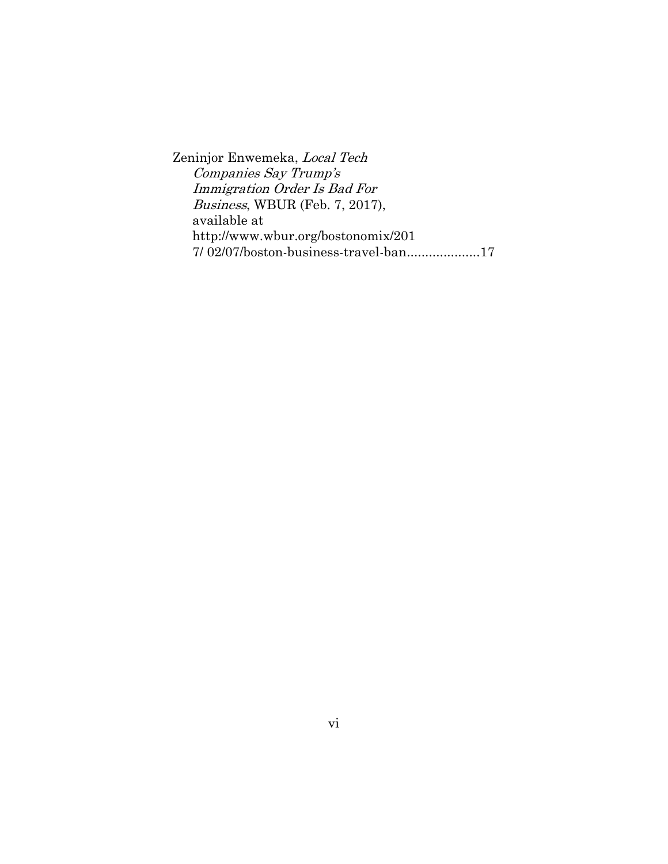Zeninjor Enwemeka, Local Tech Companies Say Trump's Immigration Order Is Bad For Business, WBUR (Feb. 7, 2017), available at http://www.wbur.org/bostonomix/201 7/ 02/07/boston-business-travel-ban....................17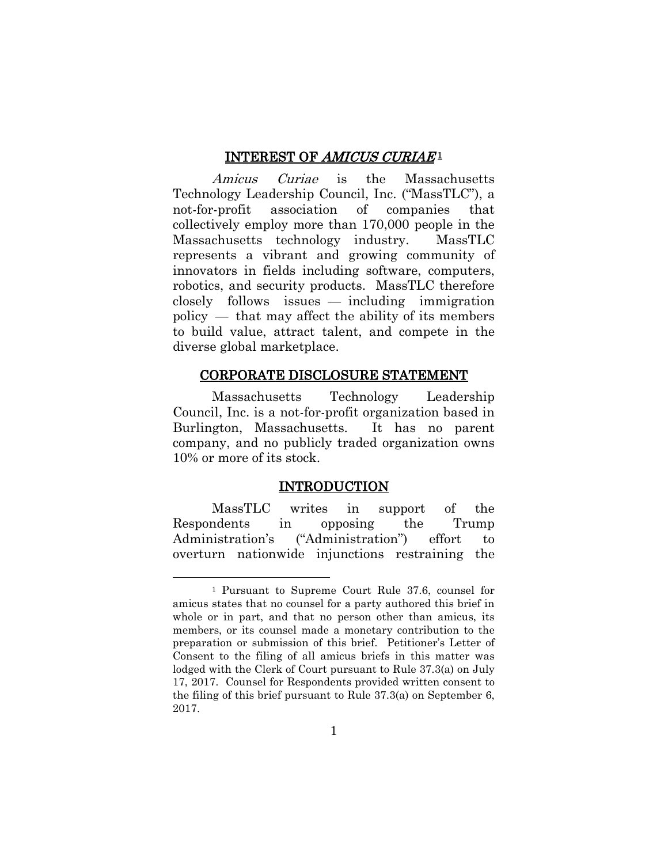#### INTEREST OF *AMICUS CURIAE*1

<span id="page-7-0"></span>Amicus Curiae is the Massachusetts Technology Leadership Council, Inc. ("MassTLC"), a not-for-profit association of companies that collectively employ more than 170,000 people in the Massachusetts technology industry. MassTLC represents a vibrant and growing community of innovators in fields including software, computers, robotics, and security products. MassTLC therefore closely follows issues — including immigration policy — that may affect the ability of its members to build value, attract talent, and compete in the diverse global marketplace.

#### CORPORATE DISCLOSURE STATEMENT

Massachusetts Technology Leadership Council, Inc. is a not-for-profit organization based in Burlington, Massachusetts. It has no parent company, and no publicly traded organization owns 10% or more of its stock.

#### INTRODUCTION

<span id="page-7-2"></span><span id="page-7-1"></span>MassTLC writes in support of the Respondents in opposing the Trump Administration's ("Administration") effort to overturn nationwide injunctions restraining the

<sup>1</sup> Pursuant to Supreme Court Rule 37.6, counsel for amicus states that no counsel for a party authored this brief in whole or in part, and that no person other than amicus, its members, or its counsel made a monetary contribution to the preparation or submission of this brief. Petitioner's Letter of Consent to the filing of all amicus briefs in this matter was lodged with the Clerk of Court pursuant to Rule 37.3(a) on July 17, 2017. Counsel for Respondents provided written consent to the filing of this brief pursuant to Rule 37.3(a) on September 6, 2017.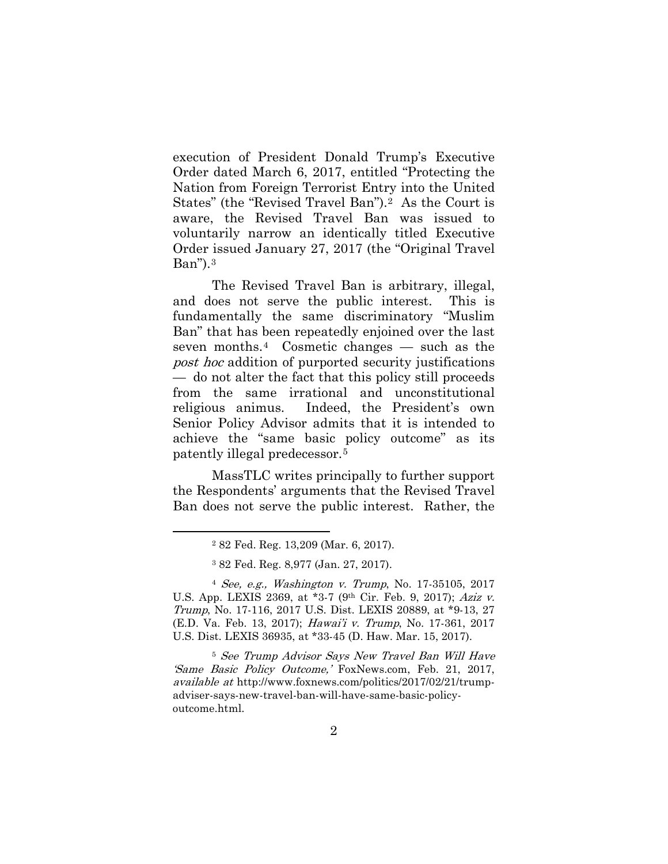execution of President Donald Trump's Executive Order dated March 6, 2017, entitled "Protecting the Nation from Foreign Terrorist Entry into the United States" (the "Revised Travel Ban").<sup>[2](#page-7-2)</sup> As the Court is aware, the Revised Travel Ban was issued to voluntarily narrow an identically titled Executive Order issued January 27, 2017 (the "Original Travel Ban").[3](#page-8-0)

The Revised Travel Ban is arbitrary, illegal, and does not serve the public interest. This is fundamentally the same discriminatory "Muslim Ban" that has been repeatedly enjoined over the last seven months.[4](#page-8-1) Cosmetic changes — such as the post hoc addition of purported security justifications — do not alter the fact that this policy still proceeds from the same irrational and unconstitutional religious animus. Indeed, the President's own Senior Policy Advisor admits that it is intended to achieve the "same basic policy outcome" as its patently illegal predecessor.[5](#page-8-2)

MassTLC writes principally to further support the Respondents' arguments that the Revised Travel Ban does not serve the public interest. Rather, the

 $\overline{a}$ 

<span id="page-8-3"></span><span id="page-8-2"></span><sup>5</sup> See Trump Advisor Says New Travel Ban Will Have 'Same Basic Policy Outcome,' FoxNews.com, Feb. 21, 2017, available at http://www.foxnews.com/politics/2017/02/21/trumpadviser-says-new-travel-ban-will-have-same-basic-policyoutcome.html.

<sup>2</sup> 82 Fed. Reg. 13,209 (Mar. 6, 2017).

<sup>3</sup> 82 Fed. Reg. 8,977 (Jan. 27, 2017).

<span id="page-8-1"></span><span id="page-8-0"></span><sup>4</sup> See, e.g., Washington v. Trump, No. 17-35105, 2017 U.S. App. LEXIS 2369, at \*3-7 (9th Cir. Feb. 9, 2017); Aziz v. Trump, No. 17-116, 2017 U.S. Dist. LEXIS 20889, at \*9-13, 27 (E.D. Va. Feb. 13, 2017); Hawai'i v. Trump, No. 17-361, 2017 U.S. Dist. LEXIS 36935, at \*33-45 (D. Haw. Mar. 15, 2017).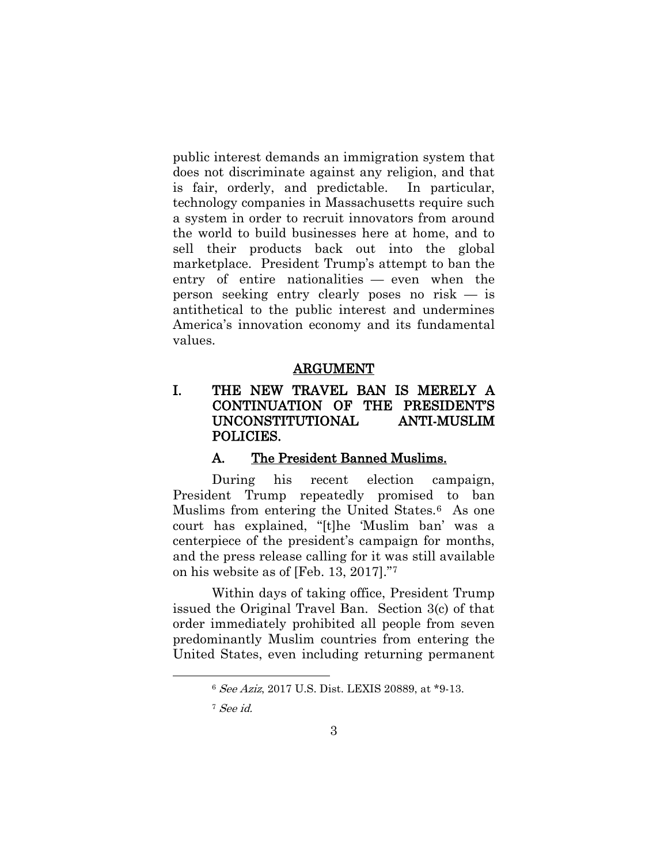public interest demands an immigration system that does not discriminate against any religion, and that is fair, orderly, and predictable. In particular, technology companies in Massachusetts require such a system in order to recruit innovators from around the world to build businesses here at home, and to sell their products back out into the global marketplace. President Trump's attempt to ban the entry of entire nationalities — even when the person seeking entry clearly poses no risk — is antithetical to the public interest and undermines America's innovation economy and its fundamental values.

#### ARGUMENT

## <span id="page-9-1"></span><span id="page-9-0"></span>I. THE NEW TRAVEL BAN IS MERELY A CONTINUATION OF THE PRESIDENT'S UNCONSTITUTIONAL ANTI-MUSLIM POLICIES.

#### A. The President Banned Muslims.

<span id="page-9-2"></span>During his recent election campaign, President Trump repeatedly promised to ban Muslims from entering the United States.<sup>6</sup> As one court has explained, "[t]he 'Muslim ban' was a centerpiece of the president's campaign for months, and the press release calling for it was still available on his website as of [Feb. 13, 2017]."[7](#page-9-3)

<span id="page-9-4"></span><span id="page-9-3"></span>Within days of taking office, President Trump issued the Original Travel Ban. Section 3(c) of that order immediately prohibited all people from seven predominantly Muslim countries from entering the United States, even including returning permanent

<sup>6</sup> See Aziz, 2017 U.S. Dist. LEXIS 20889, at \*9-13.

<sup>7</sup> See id.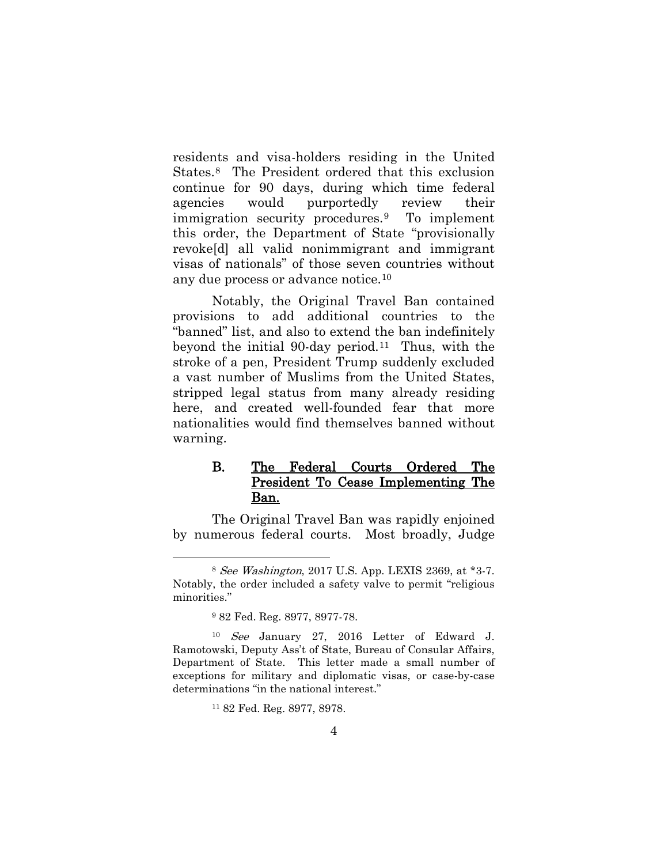residents and visa-holders residing in the United States.[8](#page-9-4) The President ordered that this exclusion continue for 90 days, during which time federal agencies would purportedly review their immigration security procedures.[9](#page-10-1) To implement this order, the Department of State "provisionally revoke[d] all valid nonimmigrant and immigrant visas of nationals" of those seven countries without any due process or advance notice.[10](#page-10-2) 

Notably, the Original Travel Ban contained provisions to add additional countries to the "banned" list, and also to extend the ban indefinitely beyond the initial 90-day period.<sup>11</sup> Thus, with the stroke of a pen, President Trump suddenly excluded a vast number of Muslims from the United States, stripped legal status from many already residing here, and created well-founded fear that more nationalities would find themselves banned without warning.

## <span id="page-10-0"></span>B. The Federal Courts Ordered The President To Cease Implementing The Ban.

The Original Travel Ban was rapidly enjoined by numerous federal courts. Most broadly, Judge

<sup>8</sup> See Washington, 2017 U.S. App. LEXIS 2369, at \*3-7. Notably, the order included a safety valve to permit "religious minorities."

<sup>9</sup> 82 Fed. Reg. 8977, 8977-78.

<span id="page-10-4"></span><span id="page-10-3"></span><span id="page-10-2"></span><span id="page-10-1"></span><sup>10</sup> See January 27, 2016 Letter of Edward J. Ramotowski, Deputy Ass't of State, Bureau of Consular Affairs, Department of State. This letter made a small number of exceptions for military and diplomatic visas, or case-by-case determinations "in the national interest."

<sup>11</sup> 82 Fed. Reg. 8977, 8978.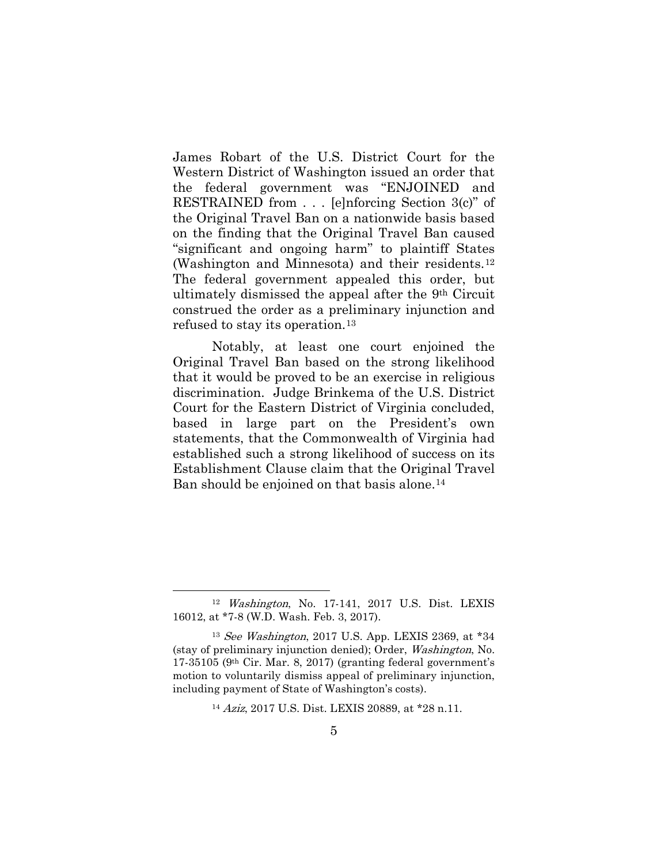James Robart of the U.S. District Court for the Western District of Washington issued an order that the federal government was "ENJOINED and RESTRAINED from . . . [e]nforcing Section 3(c)" of the Original Travel Ban on a nationwide basis based on the finding that the Original Travel Ban caused "significant and ongoing harm" to plaintiff States (Washington and Minnesota) and their residents.[12](#page-10-4)  The federal government appealed this order, but ultimately dismissed the appeal after the 9th Circuit construed the order as a preliminary injunction and refused to stay its operation.[13](#page-11-1)

Notably, at least one court enjoined the Original Travel Ban based on the strong likelihood that it would be proved to be an exercise in religious discrimination. Judge Brinkema of the U.S. District Court for the Eastern District of Virginia concluded, based in large part on the President's own statements, that the Commonwealth of Virginia had established such a strong likelihood of success on its Establishment Clause claim that the Original Travel Ban should be enjoined on that basis alone.<sup>14</sup>

<span id="page-11-3"></span><span id="page-11-0"></span><sup>12</sup> Washington, No. 17-141, 2017 U.S. Dist. LEXIS 16012, at \*7-8 (W.D. Wash. Feb. 3, 2017).

<span id="page-11-2"></span><span id="page-11-1"></span><sup>13</sup> See Washington, 2017 U.S. App. LEXIS 2369, at \*34 (stay of preliminary injunction denied); Order, Washington, No. 17-35105 (9th Cir. Mar. 8, 2017) (granting federal government's motion to voluntarily dismiss appeal of preliminary injunction, including payment of State of Washington's costs).

<sup>14</sup> Aziz, 2017 U.S. Dist. LEXIS 20889, at \*28 n.11.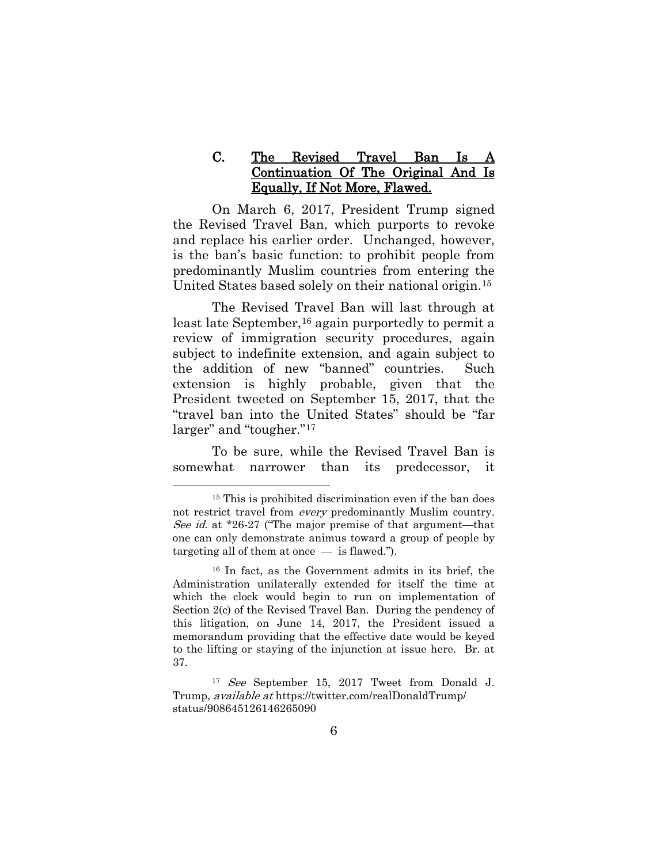## C. The Revised Travel Ban Is A Continuation Of The Original And Is Equally, If Not More, Flawed.

On March 6, 2017, President Trump signed the Revised Travel Ban, which purports to revoke and replace his earlier order. Unchanged, however, is the ban's basic function: to prohibit people from predominantly Muslim countries from entering the United States based solely on their national origin.[15](#page-11-3) 

The Revised Travel Ban will last through at least late September,<sup>[16](#page-12-0)</sup> again purportedly to permit a review of immigration security procedures, again subject to indefinite extension, and again subject to the addition of new "banned" countries. Such extension is highly probable, given that the President tweeted on September 15, 2017, that the "travel ban into the United States" should be "far larger" and "tougher.["17](#page-12-1)

To be sure, while the Revised Travel Ban is somewhat narrower than its predecessor, it

<sup>15</sup> This is prohibited discrimination even if the ban does not restrict travel from every predominantly Muslim country. See id. at \*26-27 ("The major premise of that argument—that one can only demonstrate animus toward a group of people by targeting all of them at once — is flawed.").

<span id="page-12-2"></span><span id="page-12-0"></span><sup>16</sup> In fact, as the Government admits in its brief, the Administration unilaterally extended for itself the time at which the clock would begin to run on implementation of Section 2(c) of the Revised Travel Ban. During the pendency of this litigation, on June 14, 2017, the President issued a memorandum providing that the effective date would be keyed to the lifting or staying of the injunction at issue here. Br. at 37.

<span id="page-12-1"></span><sup>&</sup>lt;sup>17</sup> See September 15, 2017 Tweet from Donald J. Trump, available at https://twitter.com/realDonaldTrump/ status/908645126146265090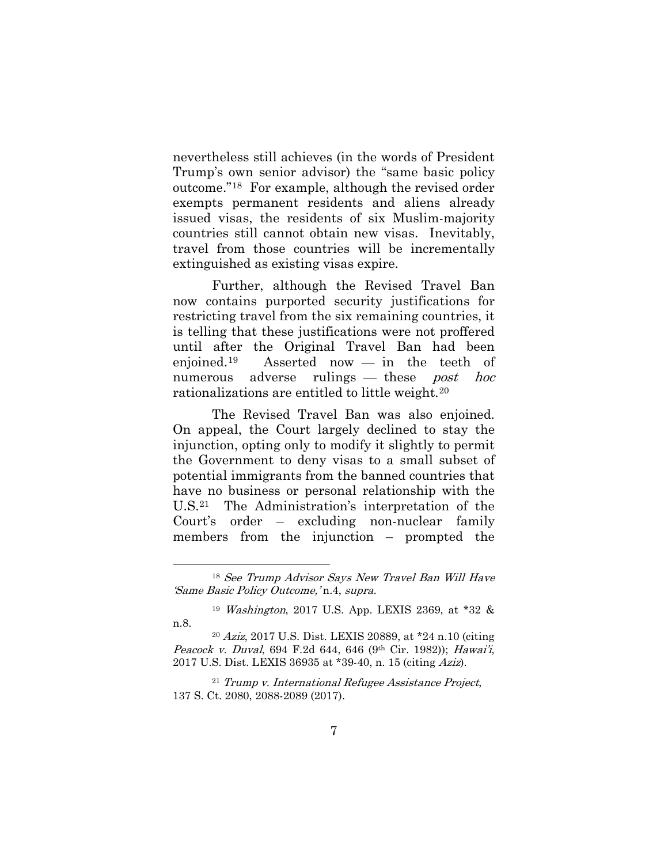nevertheless still achieves (in the words of President Trump's own senior advisor) the "same basic policy outcome."[18](#page-12-2) For example, although the revised order exempts permanent residents and aliens already issued visas, the residents of six Muslim-majority countries still cannot obtain new visas. Inevitably, travel from those countries will be incrementally extinguished as existing visas expire.

Further, although the Revised Travel Ban now contains purported security justifications for restricting travel from the six remaining countries, it is telling that these justifications were not proffered until after the Original Travel Ban had been enjoined.[19](#page-13-0) Asserted now — in the teeth of numerous adverse rulings — these post hoc rationalizations are entitled to little weight.[20](#page-13-1)

The Revised Travel Ban was also enjoined. On appeal, the Court largely declined to stay the injunction, opting only to modify it slightly to permit the Government to deny visas to a small subset of potential immigrants from the banned countries that have no business or personal relationship with the U.S.[21](#page-13-2) The Administration's interpretation of the Court's order – excluding non-nuclear family members from the injunction – prompted the

<sup>18</sup> See Trump Advisor Says New Travel Ban Will Have 'Same Basic Policy Outcome,' n.4, supra.

<span id="page-13-0"></span><sup>19</sup> Washington, 2017 U.S. App. LEXIS 2369, at \*32 & n.8.

<span id="page-13-3"></span><span id="page-13-1"></span><sup>20</sup> Aziz, 2017 U.S. Dist. LEXIS 20889, at \*24 n.10 (citing Peacock v. Duval, 694 F.2d 644, 646 (9th Cir. 1982)); Hawai'i, 2017 U.S. Dist. LEXIS 36935 at \*39-40, n. 15 (citing Aziz).

<span id="page-13-2"></span><sup>21</sup> Trump v. International Refugee Assistance Project, 137 S. Ct. 2080, 2088-2089 (2017).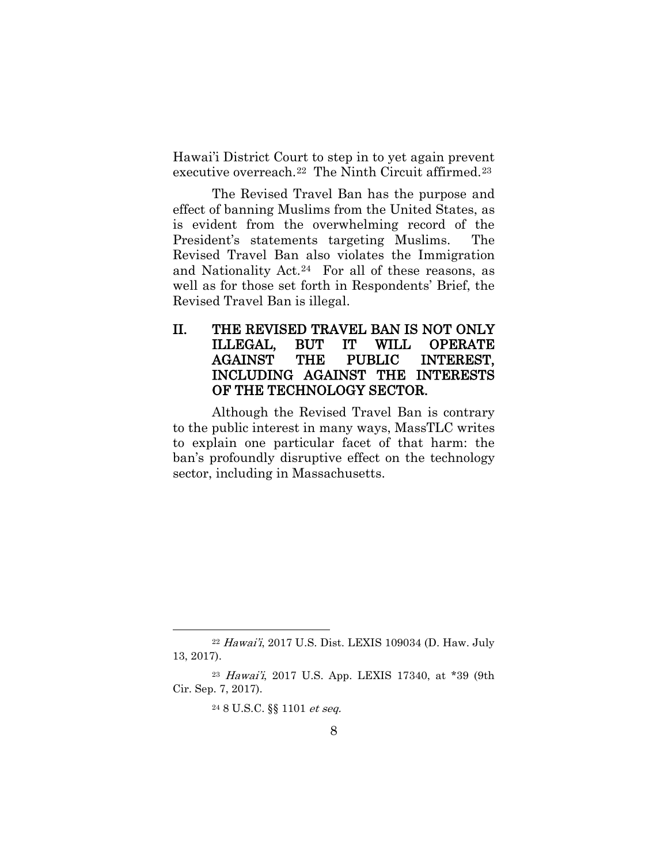Hawai'i District Court to step in to yet again prevent executive overreach.<sup>22</sup> The Ninth Circuit affirmed.<sup>[23](#page-14-1)</sup>

The Revised Travel Ban has the purpose and effect of banning Muslims from the United States, as is evident from the overwhelming record of the President's statements targeting Muslims. The Revised Travel Ban also violates the Immigration and Nationality Act.[24](#page-14-2) For all of these reasons, as well as for those set forth in Respondents' Brief, the Revised Travel Ban is illegal.

## <span id="page-14-0"></span>II. THE REVISED TRAVEL BAN IS NOT ONLY ILLEGAL, BUT IT WILL OPERATE AGAINST THE PUBLIC INTEREST, INCLUDING AGAINST THE INTERESTS OF THE TECHNOLOGY SECTOR.

Although the Revised Travel Ban is contrary to the public interest in many ways, MassTLC writes to explain one particular facet of that harm: the ban's profoundly disruptive effect on the technology sector, including in Massachusetts.

<span id="page-14-3"></span><sup>22</sup> Hawai'i, 2017 U.S. Dist. LEXIS 109034 (D. Haw. July 13, 2017).

<span id="page-14-2"></span><span id="page-14-1"></span><sup>23</sup> Hawai'i, 2017 U.S. App. LEXIS 17340, at \*39 (9th Cir. Sep. 7, 2017).

<sup>24</sup> 8 U.S.C. §§ 1101 et seq.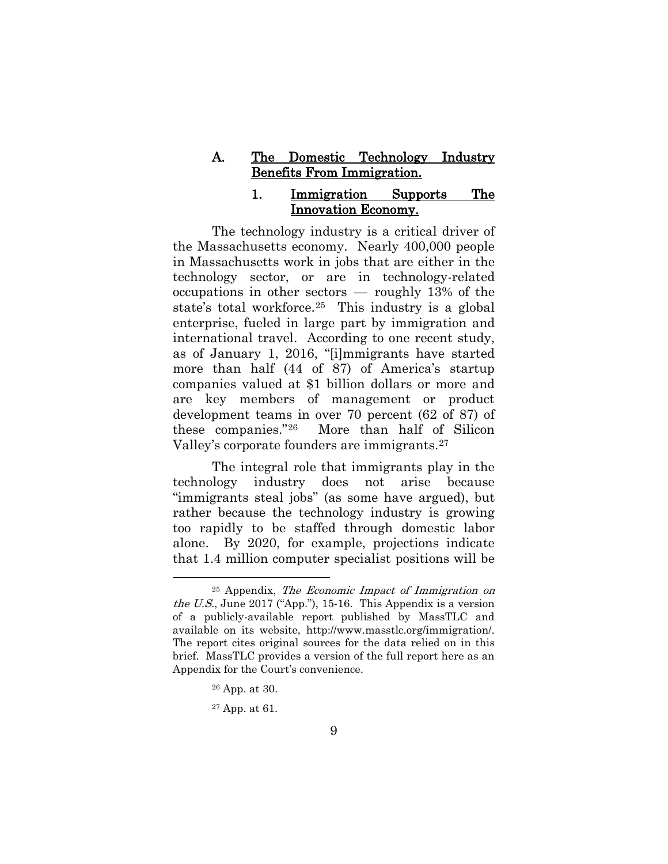#### <span id="page-15-0"></span>A. The Domestic Technology Industry Benefits From Immigration.

#### 1. Immigration Supports The Innovation Economy.

<span id="page-15-1"></span>The technology industry is a critical driver of the Massachusetts economy. Nearly 400,000 people in Massachusetts work in jobs that are either in the technology sector, or are in technology-related occupations in other sectors — roughly 13% of the state's total workforce.[25](#page-14-3) This industry is a global enterprise, fueled in large part by immigration and international travel. According to one recent study, as of January 1, 2016, "[i]mmigrants have started more than half (44 of 87) of America's startup companies valued at \$1 billion dollars or more and are key members of management or product development teams in over 70 percent (62 of 87) of these companies."[26](#page-15-2) More than half of Silicon Valley's corporate founders are immigrants.[27](#page-15-3)

The integral role that immigrants play in the technology industry does not arise because "immigrants steal jobs" (as some have argued), but rather because the technology industry is growing too rapidly to be staffed through domestic labor alone. By 2020, for example, projections indicate that 1.4 million computer specialist positions will be

<span id="page-15-4"></span><span id="page-15-3"></span><span id="page-15-2"></span><sup>25</sup> Appendix, The Economic Impact of Immigration on the U.S., June 2017 ("App."), 15-16. This Appendix is a version of a publicly-available report published by MassTLC and available on its website, http://www.masstlc.org/immigration/. The report cites original sources for the data relied on in this brief. MassTLC provides a version of the full report here as an Appendix for the Court's convenience.

<sup>26</sup> App. at 30.

<sup>27</sup> App. at 61.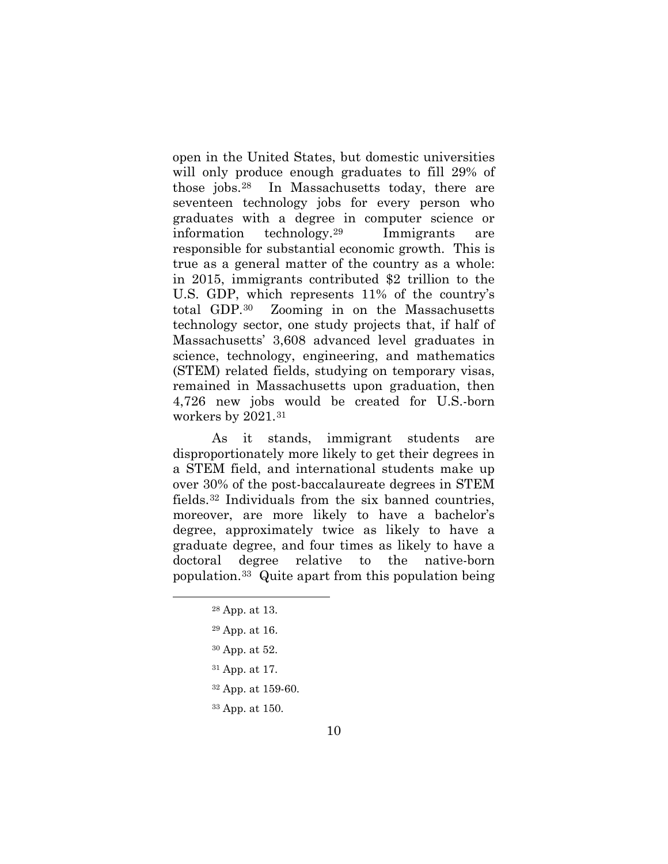open in the United States, but domestic universities will only produce enough graduates to fill 29% of those jobs.[28](#page-15-4) In Massachusetts today, there are seventeen technology jobs for every person who graduates with a degree in computer science or information technology.[29](#page-16-0) Immigrants are responsible for substantial economic growth. This is true as a general matter of the country as a whole: in 2015, immigrants contributed \$2 trillion to the U.S. GDP, which represents 11% of the country's total GDP.[30](#page-16-1) Zooming in on the Massachusetts technology sector, one study projects that, if half of Massachusetts' 3,608 advanced level graduates in science, technology, engineering, and mathematics (STEM) related fields, studying on temporary visas, remained in Massachusetts upon graduation, then 4,726 new jobs would be created for U.S.-born workers by 2021.[31](#page-16-2)

As it stands, immigrant students are disproportionately more likely to get their degrees in a STEM field, and international students make up over 30% of the post-baccalaureate degrees in STEM fields.[32](#page-16-3) Individuals from the six banned countries, moreover, are more likely to have a bachelor's degree, approximately twice as likely to have a graduate degree, and four times as likely to have a doctoral degree relative to the native-born population.[33](#page-16-4) Quite apart from this population being

<sup>28</sup> App. at 13.

<sup>29</sup> App. at 16.

<span id="page-16-1"></span><span id="page-16-0"></span><sup>30</sup> App. at 52.

<span id="page-16-2"></span><sup>31</sup> App. at 17.

<span id="page-16-4"></span><span id="page-16-3"></span><sup>32</sup> App. at 159-60.

<sup>33</sup> App. at 150.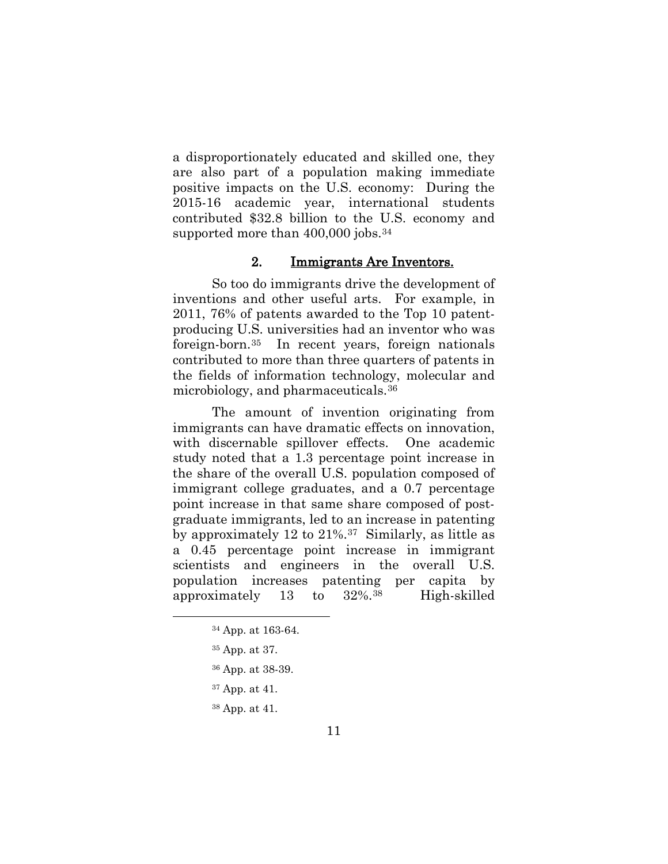a disproportionately educated and skilled one, they are also part of a population making immediate positive impacts on the U.S. economy: During the 2015-16 academic year, international students contributed \$32.8 billion to the U.S. economy and supported more than 400,000 jobs.<sup>[34](#page-16-0)</sup>

#### 2. Immigrants Are Inventors.

<span id="page-17-0"></span>So too do immigrants drive the development of inventions and other useful arts. For example, in 2011, 76% of patents awarded to the Top 10 patentproducing U.S. universities had an inventor who was foreign-born.[35](#page-17-1) In recent years, foreign nationals contributed to more than three quarters of patents in the fields of information technology, molecular and microbiology, and pharmaceuticals.[36](#page-17-2)

The amount of invention originating from immigrants can have dramatic effects on innovation, with discernable spillover effects. One academic study noted that a 1.3 percentage point increase in the share of the overall U.S. population composed of immigrant college graduates, and a 0.7 percentage point increase in that same share composed of postgraduate immigrants, led to an increase in patenting by approximately 12 to 21%.[37](#page-17-3) Similarly, as little as a 0.45 percentage point increase in immigrant scientists and engineers in the overall U.S. population increases patenting per capita by approximately 13 to 32%.[38](#page-17-4) High-skilled

- <sup>37</sup> App. at 41.
- <span id="page-17-4"></span><sup>38</sup> App. at 41.

<span id="page-17-5"></span><sup>34</sup> App. at 163-64.

<span id="page-17-2"></span><span id="page-17-1"></span><sup>35</sup> App. at 37.

<span id="page-17-3"></span><sup>36</sup> App. at 38-39.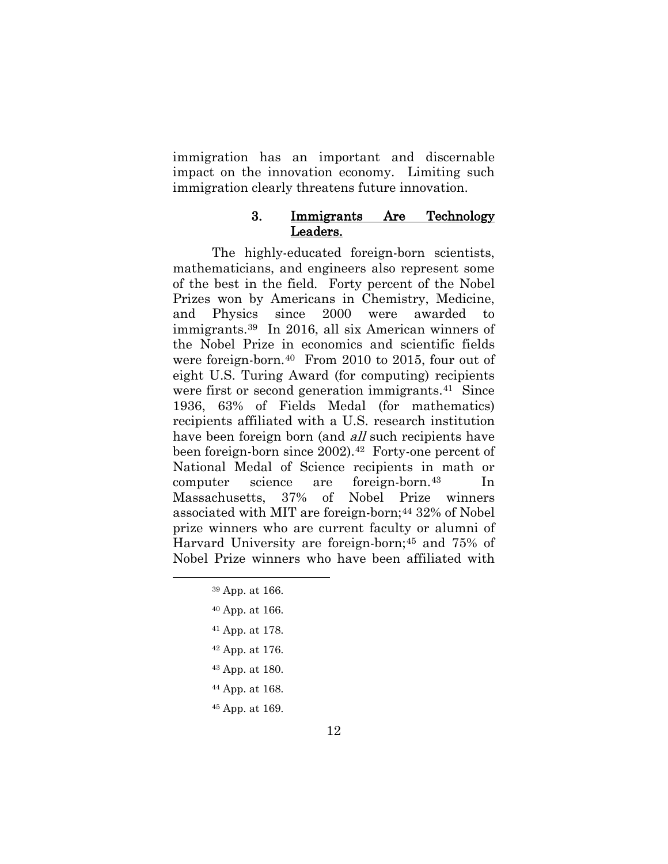<span id="page-18-0"></span>immigration has an important and discernable impact on the innovation economy. Limiting such immigration clearly threatens future innovation.

#### 3. Immigrants Are Technology Leaders.

The highly-educated foreign-born scientists, mathematicians, and engineers also represent some of the best in the field. Forty percent of the Nobel Prizes won by Americans in Chemistry, Medicine, and Physics since 2000 were awarded to immigrants.[39](#page-17-5) In 2016, all six American winners of the Nobel Prize in economics and scientific fields were foreign-born.[40](#page-18-1) From 2010 to 2015, four out of eight U.S. Turing Award (for computing) recipients were first or second generation immigrants.<sup>[41](#page-18-2)</sup> Since 1936, 63% of Fields Medal (for mathematics) recipients affiliated with a U.S. research institution have been foreign born (and *all* such recipients have been foreign-born since 2002).<sup>[42](#page-18-3)</sup> Forty-one percent of National Medal of Science recipients in math or computer science are foreign-born.[43](#page-18-4) In Massachusetts, 37% of Nobel Prize winners associated with MIT are foreign-born;<sup>[44](#page-18-5)</sup> 32% of Nobel prize winners who are current faculty or alumni of Harvard University are foreign-born;<sup>[45](#page-18-6)</sup> and 75% of Nobel Prize winners who have been affiliated with

> App. at 166. App. at 166. App. at 178. App. at 176. App. at 180. App. at 168.

<span id="page-18-7"></span><span id="page-18-5"></span><span id="page-18-4"></span><span id="page-18-3"></span><span id="page-18-2"></span><span id="page-18-1"></span> $\overline{a}$ 

<span id="page-18-6"></span><sup>45</sup> App. at 169.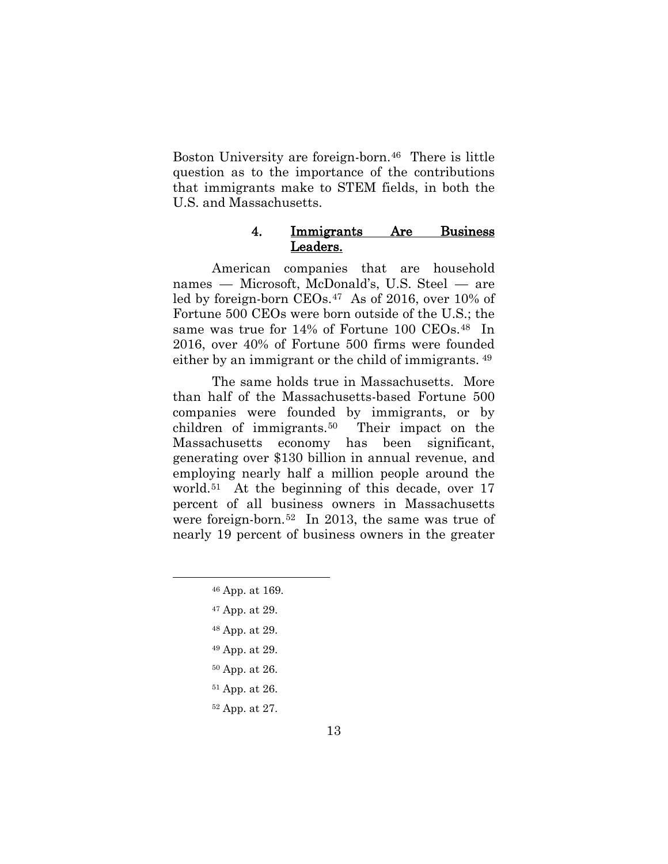Boston University are foreign-born.<sup>46</sup> There is little question as to the importance of the contributions that immigrants make to STEM fields, in both the U.S. and Massachusetts.

#### 4. Immigrants Are Business Leaders.

<span id="page-19-0"></span>American companies that are household names — Microsoft, McDonald's, U.S. Steel — are led by foreign-born CEOs.[47](#page-19-1) As of 2016, over 10% of Fortune 500 CEOs were born outside of the U.S.; the same was true for 14% of Fortune 100 CEOs.<sup>[48](#page-19-2)</sup> In 2016, over 40% of Fortune 500 firms were founded either by an immigrant or the child of immigrants. [49](#page-19-3) 

The same holds true in Massachusetts. More than half of the Massachusetts-based Fortune 500 companies were founded by immigrants, or by children of immigrants.[50](#page-19-4) Their impact on the Massachusetts economy has been significant, generating over \$130 billion in annual revenue, and employing nearly half a million people around the world.[51](#page-19-5) At the beginning of this decade, over 17 percent of all business owners in Massachusetts were foreign-born.[52](#page-19-6) In 2013, the same was true of nearly 19 percent of business owners in the greater

> <span id="page-19-7"></span><span id="page-19-2"></span><span id="page-19-1"></span> App. at 169. App. at 29. App. at 29. App. at 29. App. at 26. App. at 26.

<span id="page-19-6"></span><span id="page-19-5"></span><span id="page-19-4"></span><span id="page-19-3"></span><sup>52</sup> App. at 27.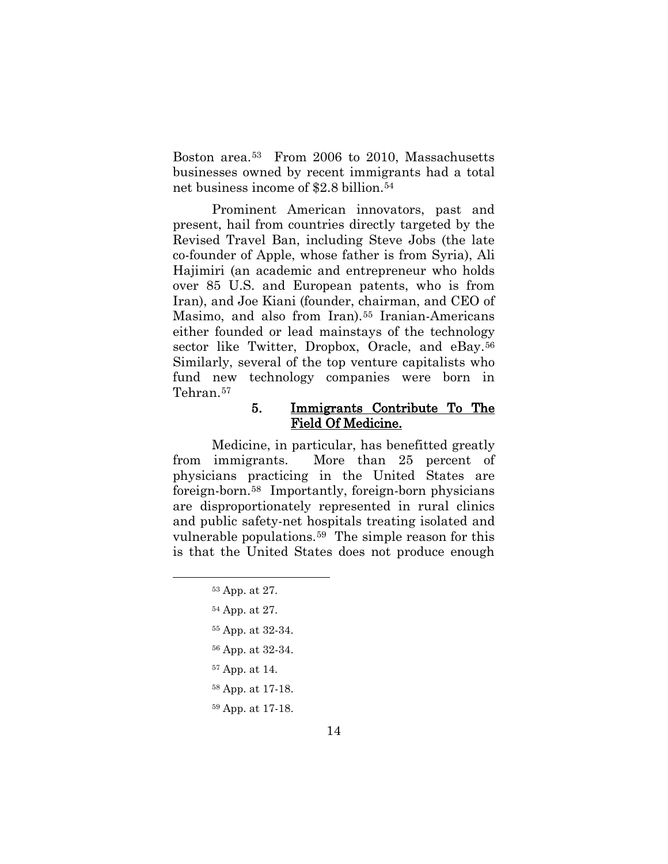Boston area.[53](#page-19-7) From 2006 to 2010, Massachusetts businesses owned by recent immigrants had a total net business income of \$2.8 billion.[54](#page-20-1)

Prominent American innovators, past and present, hail from countries directly targeted by the Revised Travel Ban, including Steve Jobs (the late co-founder of Apple, whose father is from Syria), Ali Hajimiri (an academic and entrepreneur who holds over 85 U.S. and European patents, who is from Iran), and Joe Kiani (founder, chairman, and CEO of Masimo, and also from Iran).<sup>[55](#page-20-2)</sup> Iranian-Americans either founded or lead mainstays of the technology sector like Twitter, Dropbox, Oracle, and eBay.<sup>56</sup> Similarly, several of the top venture capitalists who fund new technology companies were born in Tehran.[57](#page-20-4)

### 5. Immigrants Contribute To The Field Of Medicine.

<span id="page-20-0"></span>Medicine, in particular, has benefitted greatly from immigrants. More than 25 percent of physicians practicing in the United States are foreign-born.[58](#page-20-5) Importantly, foreign-born physicians are disproportionately represented in rural clinics and public safety-net hospitals treating isolated and vulnerable populations.[59](#page-20-6) The simple reason for this is that the United States does not produce enough

- <sup>56</sup> App. at 32-34.
- <span id="page-20-4"></span><span id="page-20-3"></span><sup>57</sup> App. at 14.
- <span id="page-20-6"></span><span id="page-20-5"></span><sup>58</sup> App. at 17-18.
- <sup>59</sup> App. at 17-18.

<sup>53</sup> App. at 27.

<span id="page-20-2"></span><span id="page-20-1"></span><sup>54</sup> App. at 27.

<sup>55</sup> App. at 32-34.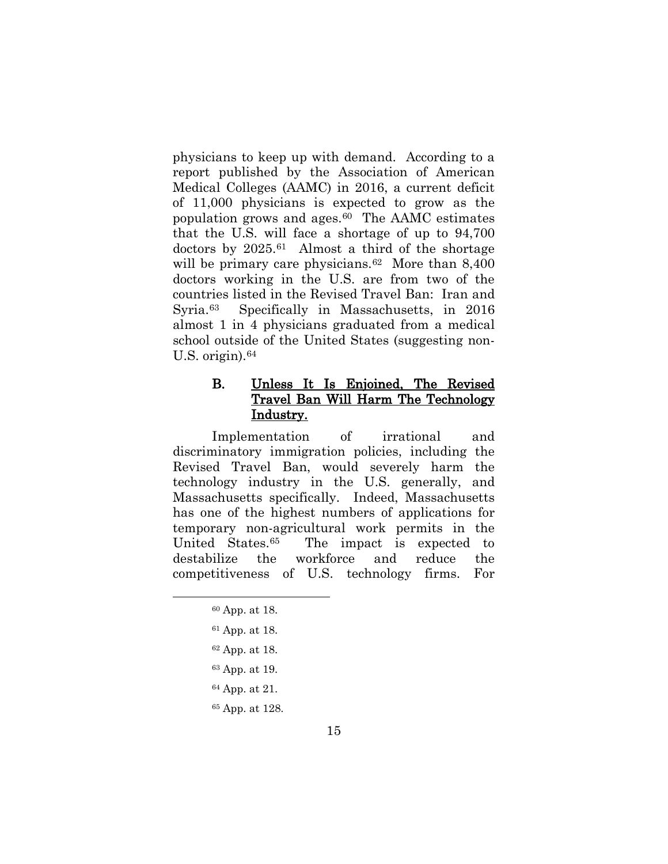physicians to keep up with demand. According to a report published by the Association of American Medical Colleges (AAMC) in 2016, a current deficit of 11,000 physicians is expected to grow as the population grows and ages.[60](#page-20-1) The AAMC estimates that the U.S. will face a shortage of up to 94,700 doctors by 2025.[61](#page-21-1) Almost a third of the shortage will be primary care physicians. $62$  More than 8,400 doctors working in the U.S. are from two of the countries listed in the Revised Travel Ban: Iran and Syria.[63](#page-21-3) Specifically in Massachusetts, in 2016 almost 1 in 4 physicians graduated from a medical school outside of the United States (suggesting non-U.S. origin).[64](#page-21-4)

# <span id="page-21-0"></span>B. Unless It Is Enjoined, The Revised Travel Ban Will Harm The Technology Industry.

Implementation of irrational and discriminatory immigration policies, including the Revised Travel Ban, would severely harm the technology industry in the U.S. generally, and Massachusetts specifically. Indeed, Massachusetts has one of the highest numbers of applications for temporary non-agricultural work permits in the United States[.65](#page-21-5) The impact is expected to destabilize the workforce and reduce the competitiveness of U.S. technology firms. For

- <sup>64</sup> App. at 21.
- <span id="page-21-5"></span><sup>65</sup> App. at 128.

<sup>60</sup> App. at 18.

<span id="page-21-6"></span><span id="page-21-1"></span><sup>61</sup> App. at 18.

<span id="page-21-2"></span><sup>62</sup> App. at 18.

<span id="page-21-4"></span><span id="page-21-3"></span><sup>63</sup> App. at 19.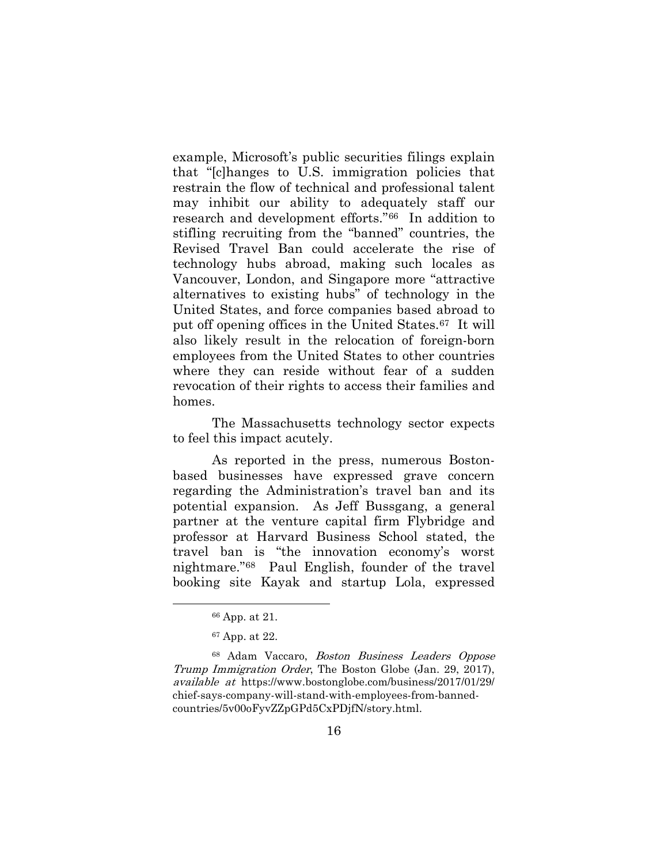example, Microsoft's public securities filings explain that "[c]hanges to U.S. immigration policies that restrain the flow of technical and professional talent may inhibit our ability to adequately staff our research and development efforts."[66](#page-21-6) In addition to stifling recruiting from the "banned" countries, the Revised Travel Ban could accelerate the rise of technology hubs abroad, making such locales as Vancouver, London, and Singapore more "attractive alternatives to existing hubs" of technology in the United States, and force companies based abroad to put off opening offices in the United States.[67](#page-22-0) It will also likely result in the relocation of foreign-born employees from the United States to other countries where they can reside without fear of a sudden revocation of their rights to access their families and homes.

The Massachusetts technology sector expects to feel this impact acutely.

As reported in the press, numerous Bostonbased businesses have expressed grave concern regarding the Administration's travel ban and its potential expansion. As Jeff Bussgang, a general partner at the venture capital firm Flybridge and professor at Harvard Business School stated, the travel ban is "the innovation economy's worst nightmare."[68](#page-22-1) Paul English, founder of the travel booking site Kayak and startup Lola, expressed

<sup>66</sup> App. at 21.

<sup>67</sup> App. at 22.

<span id="page-22-2"></span><span id="page-22-1"></span><span id="page-22-0"></span><sup>68</sup> Adam Vaccaro, Boston Business Leaders Oppose Trump Immigration Order, The Boston Globe (Jan. 29, 2017), available at https://www.bostonglobe.com/business/2017/01/29/ chief-says-company-will-stand-with-employees-from-bannedcountries/5v00oFyvZZpGPd5CxPDjfN/story.html.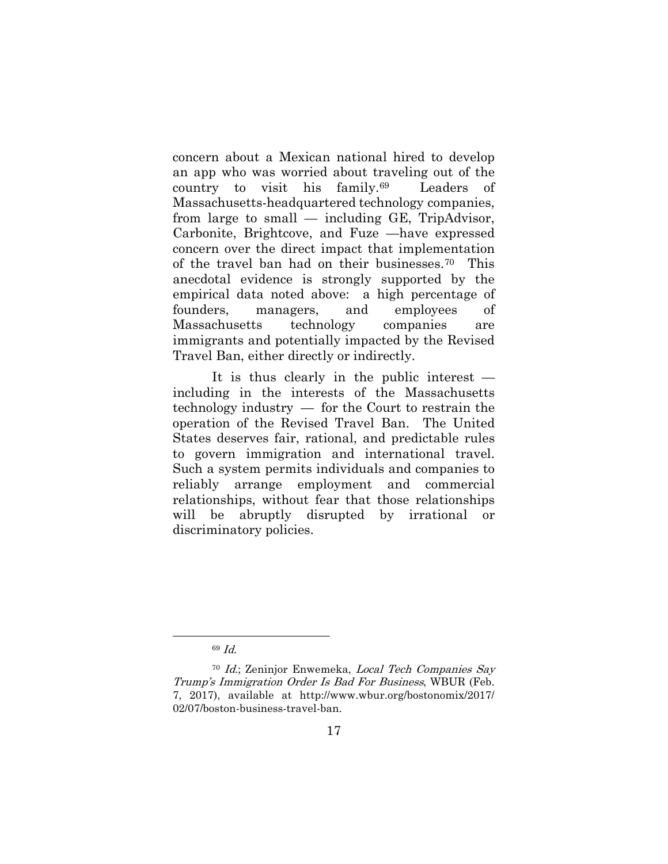concern about a Mexican national hired to develop an app who was worried about traveling out of the country to visit his family.[69](#page-22-2) Leaders of Massachusetts-headquartered technology companies, from large to small — including GE, TripAdvisor, Carbonite, Brightcove, and Fuze —have expressed concern over the direct impact that implementation of the travel ban had on their businesses.[70](#page-23-1) This anecdotal evidence is strongly supported by the empirical data noted above: a high percentage of founders, managers, and employees of Massachusetts technology companies are immigrants and potentially impacted by the Revised Travel Ban, either directly or indirectly.

It is thus clearly in the public interest including in the interests of the Massachusetts technology industry — for the Court to restrain the operation of the Revised Travel Ban. The United States deserves fair, rational, and predictable rules to govern immigration and international travel. Such a system permits individuals and companies to reliably arrange employment and commercial relationships, without fear that those relationships will be abruptly disrupted by irrational or discriminatory policies.

<span id="page-23-0"></span><sup>69</sup> Id.

<span id="page-23-2"></span><span id="page-23-1"></span><sup>70</sup> Id.; Zeninjor Enwemeka, Local Tech Companies Say Trump's Immigration Order Is Bad For Business, WBUR (Feb. 7, 2017), available at http://www.wbur.org/bostonomix/2017/ 02/07/boston-business-travel-ban.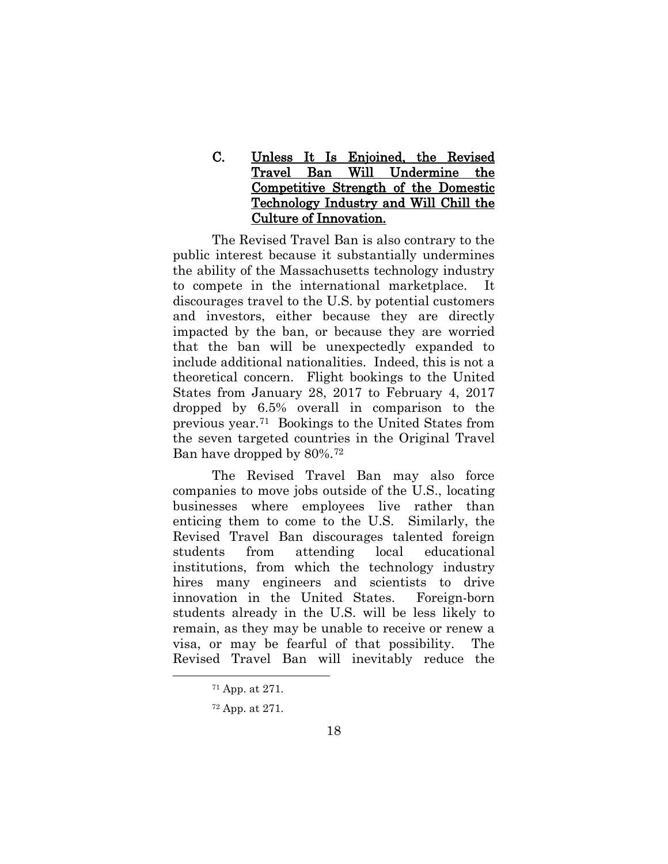# C. Unless It Is Enjoined, the Revised Travel Ban Will Undermine the Competitive Strength of the Domestic Technology Industry and Will Chill the Culture of Innovation.

The Revised Travel Ban is also contrary to the public interest because it substantially undermines the ability of the Massachusetts technology industry to compete in the international marketplace. It discourages travel to the U.S. by potential customers and investors, either because they are directly impacted by the ban, or because they are worried that the ban will be unexpectedly expanded to include additional nationalities. Indeed, this is not a theoretical concern. Flight bookings to the United States from January 28, 2017 to February 4, 2017 dropped by 6.5% overall in comparison to the previous year.[71](#page-23-2) Bookings to the United States from the seven targeted countries in the Original Travel Ban have dropped by 80%.[72](#page-24-0)

The Revised Travel Ban may also force companies to move jobs outside of the U.S., locating businesses where employees live rather than enticing them to come to the U.S. Similarly, the Revised Travel Ban discourages talented foreign students from attending local educational institutions, from which the technology industry hires many engineers and scientists to drive innovation in the United States. Foreign-born students already in the U.S. will be less likely to remain, as they may be unable to receive or renew a visa, or may be fearful of that possibility. The Revised Travel Ban will inevitably reduce the

<span id="page-24-1"></span><sup>71</sup> App. at 271.

<span id="page-24-0"></span><sup>72</sup> App. at 271.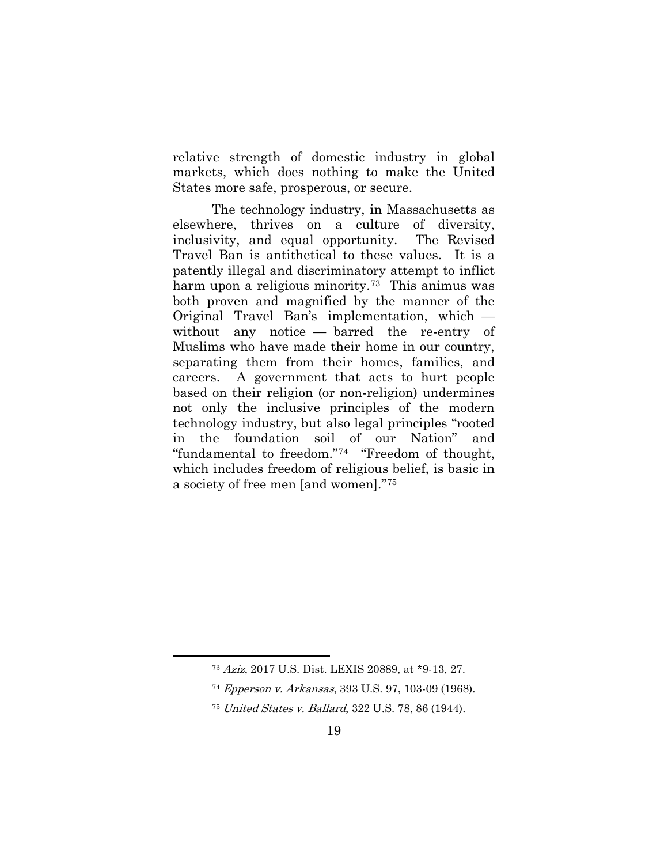relative strength of domestic industry in global markets, which does nothing to make the United States more safe, prosperous, or secure.

The technology industry, in Massachusetts as elsewhere, thrives on a culture of diversity, inclusivity, and equal opportunity. The Revised Travel Ban is antithetical to these values. It is a patently illegal and discriminatory attempt to inflict harm upon a religious minority.<sup>73</sup> This animus was both proven and magnified by the manner of the Original Travel Ban's implementation, which without any notice — barred the re-entry of Muslims who have made their home in our country, separating them from their homes, families, and careers. A government that acts to hurt people based on their religion (or non-religion) undermines not only the inclusive principles of the modern technology industry, but also legal principles "rooted in the foundation soil of our Nation" and "fundamental to freedom."[74](#page-25-1) "Freedom of thought, which includes freedom of religious belief, is basic in a society of free men [and women]."[75](#page-25-2) 

<span id="page-25-0"></span><sup>73</sup> Aziz, 2017 U.S. Dist. LEXIS 20889, at \*9-13, 27.

<span id="page-25-1"></span><sup>74</sup> Epperson v. Arkansas, 393 U.S. 97, 103-09 (1968).

<span id="page-25-2"></span><sup>75</sup> United States v. Ballard, 322 U.S. 78, 86 (1944).